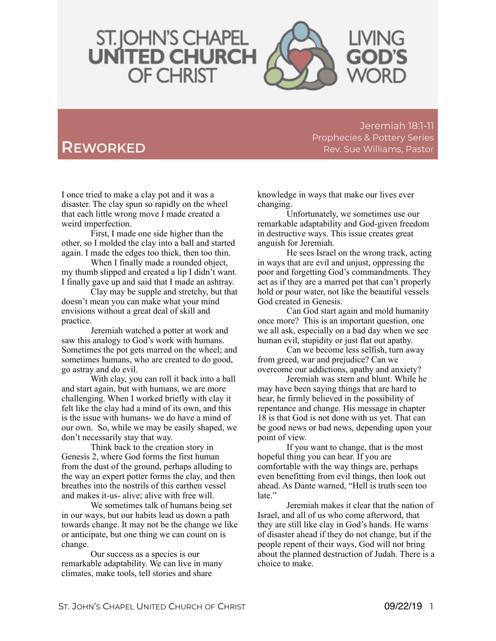

Jeremiah 18:1-11 Prophecies & Pottery Series **REWORKED Rev.** Sue Williams, Pastor

I once tried to make a clay pot and it was a disaster. The clay spun so rapidly on the wheel that each little wrong move I made created a weird imperfection.

First, I made one side higher than the other, so I molded the clay into a ball and started again. I made the edges too thick, then too thin.

When I finally made a rounded object, my thumb slipped and created a lip I didn't want. I finally gave up and said that I made an ashtray.

Clay may be supple and stretchy, but that doesn't mean you can make what your mind envisions without a great deal of skill and practice.

Jeremiah watched a potter at work and saw this analogy to God's work with humans. Sometimes the pot gets marred on the wheel; and sometimes humans, who are created to do good, go astray and do evil.

With clay, you can roll it back into a ball and start again, but with humans, we are more challenging. When I worked briefly with clay it felt like the clay had a mind of its own, and this is the issue with humans- we do have a mind of our own. So, while we may be easily shaped, we don't necessarily stay that way.

Think back to the creation story in Genesis 2, where God forms the first human from the dust of the ground, perhaps alluding to the way an expert potter forms the clay, and then breathes into the nostrils of this earthen vessel and makes it-us- alive; alive with free will.

We sometimes talk of humans being set in our ways, but our habits lead us down a path towards change. It may not be the change we like or anticipate, but one thing we can count on is change.

Our success as a species is our remarkable adaptability. We can live in many climates, make tools, tell stories and share

knowledge in ways that make our lives ever changing.

Unfortunately, we sometimes use our remarkable adaptability and God-given freedom in destructive ways. This issue creates great anguish for Jeremiah.

He sees Israel on the wrong track, acting in ways that are evil and unjust, oppressing the poor and forgetting God's commandments. They act as if they are a marred pot that can't properly hold or pour water, not like the beautiful vessels God created in Genesis.

Can God start again and mold humanity once more? This is an important question, one we all ask, especially on a bad day when we see human evil, stupidity or just flat out apathy.

Can we become less selfish, turn away from greed, war and prejudice? Can we overcome our addictions, apathy and anxiety?

Jeremiah was stern and blunt. While he may have been saying things that are hard to hear, he firmly believed in the possibility of repentance and change. His message in chapter 18 is that God is not done with us yet. That can be good news or bad news, depending upon your point of view.

If you want to change, that is the most hopeful thing you can hear. If you are comfortable with the way things are, perhaps even benefitting from evil things, then look out ahead. As Dante warned, "Hell is truth seen too late."

Jeremiah makes it clear that the nation of Israel, and all of us who come afterword, that they are still like clay in God's hands. He warns of disaster ahead if they do not change, but if the people repent of their ways, God will not bring about the planned destruction of Judah. There is a choice to make.